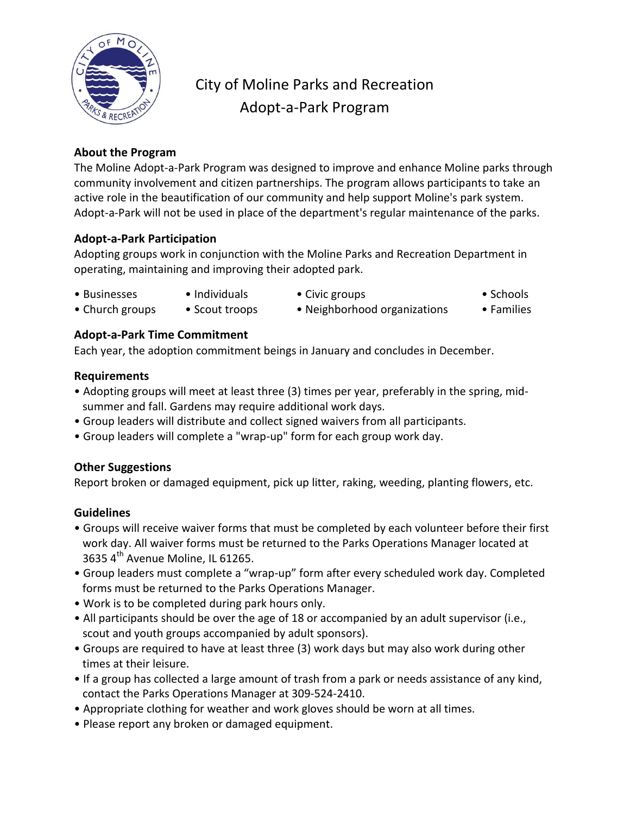

## City of Moline Parks and Recreation Adopt-a-Park Program

## **About the Program**

The Moline Adopt-a-Park Program was designed to improve and enhance Moline parks through community involvement and citizen partnerships. The program allows participants to take an active role in the beautification of our community and help support Moline's park system. Adopt-a-Park will not be used in place of the department's regular maintenance of the parks.

## **Adopt-a-Park Participation**

Adopting groups work in conjunction with the Moline Parks and Recreation Department in operating, maintaining and improving their adopted park.

- 
- 
- Businesses Individuals Civic groups Schools
	-
- 
- Church groups Scout troops Neighborhood organizations Families
	-

## **Adopt-a-Park Time Commitment**

Each year, the adoption commitment beings in January and concludes in December.

## **Requirements**

- Adopting groups will meet at least three (3) times per year, preferably in the spring, mid summer and fall. Gardens may require additional work days.
- Group leaders will distribute and collect signed waivers from all participants.
- Group leaders will complete a "wrap-up" form for each group work day.

## **Other Suggestions**

Report broken or damaged equipment, pick up litter, raking, weeding, planting flowers, etc.

## **Guidelines**

- Groups will receive waiver forms that must be completed by each volunteer before their first work day. All waiver forms must be returned to the Parks Operations Manager located at 3635 4<sup>th</sup> Avenue Moline, IL 61265.
- Group leaders must complete a "wrap-up" form after every scheduled work day. Completed forms must be returned to the Parks Operations Manager.
- Work is to be completed during park hours only.
- All participants should be over the age of 18 or accompanied by an adult supervisor (i.e., scout and youth groups accompanied by adult sponsors).
- Groups are required to have at least three (3) work days but may also work during other times at their leisure.
- If a group has collected a large amount of trash from a park or needs assistance of any kind, contact the Parks Operations Manager at 309-524-2410.
- Appropriate clothing for weather and work gloves should be worn at all times.
- Please report any broken or damaged equipment.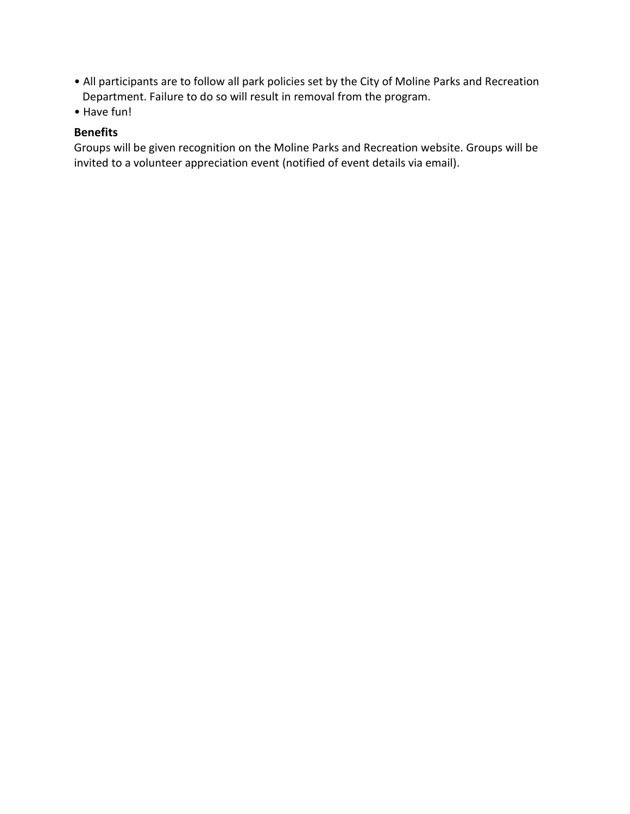- All participants are to follow all park policies set by the City of Moline Parks and Recreation Department. Failure to do so will result in removal from the program.
- Have fun!

### **Benefits**

Groups will be given recognition on the Moline Parks and Recreation website. Groups will be invited to a volunteer appreciation event (notified of event details via email).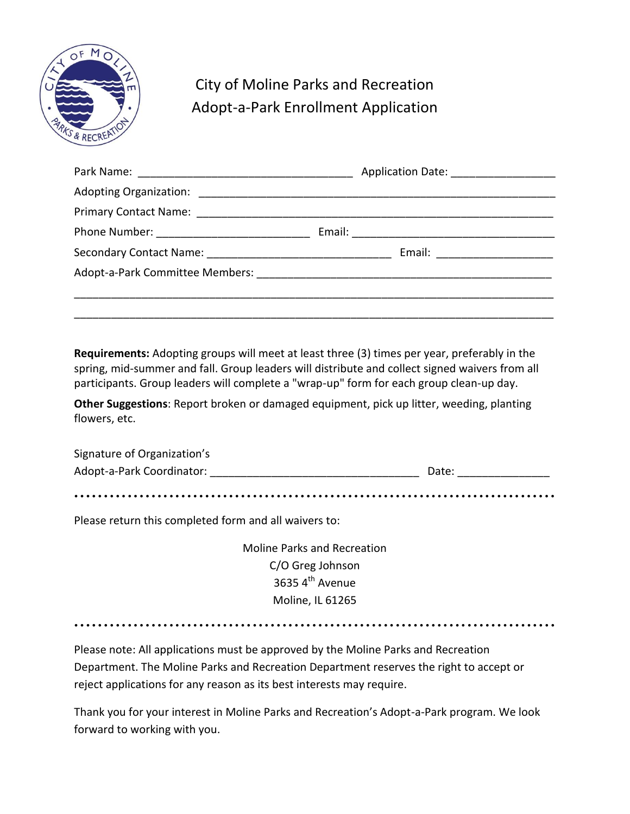

# City of Moline Parks and Recreation Adopt-a-Park Enrollment Application

| Email: ___________________ |
|----------------------------|
|                            |
|                            |
|                            |

**Requirements:** Adopting groups will meet at least three (3) times per year, preferably in the spring, mid-summer and fall. Group leaders will distribute and collect signed waivers from all participants. Group leaders will complete a "wrap-up" form for each group clean-up day.

**Other Suggestions**: Report broken or damaged equipment, pick up litter, weeding, planting flowers, etc.

| Signature of Organization's |       |
|-----------------------------|-------|
| Adopt-a-Park Coordinator:   | Date: |

• • • • • • • • • • • • • • • • • • • • • • • • • • • • • • • • • • • • • • • • • • • • • • • • • • • • • • • • • • • • • • • • • • • • • • • • • • • • • • • • •

Please return this completed form and all waivers to:

Moline Parks and Recreation C/O Greg Johnson 3635 $4<sup>th</sup>$  Avenue Moline, IL 61265

• • • • • • • • • • • • • • • • • • • • • • • • • • • • • • • • • • • • • • • • • • • • • • • • • • • • • • • • • • • • • • • • • • • • • • • • • • • • • • • • •

Please note: All applications must be approved by the Moline Parks and Recreation Department. The Moline Parks and Recreation Department reserves the right to accept or reject applications for any reason as its best interests may require.

Thank you for your interest in Moline Parks and Recreation's Adopt-a-Park program. We look forward to working with you.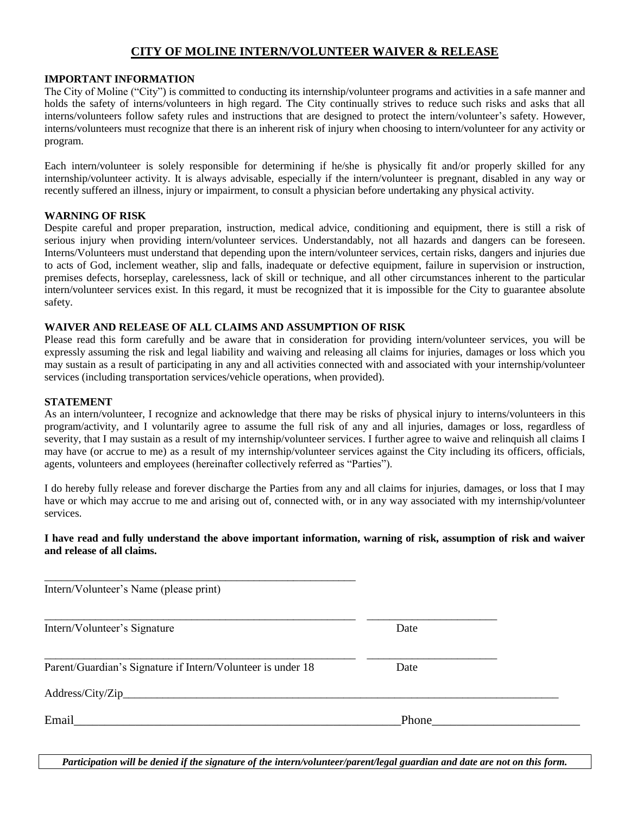### **CITY OF MOLINE INTERN/VOLUNTEER WAIVER & RELEASE**

### **IMPORTANT INFORMATION**

The City of Moline ("City") is committed to conducting its internship/volunteer programs and activities in a safe manner and holds the safety of interns/volunteers in high regard. The City continually strives to reduce such risks and asks that all interns/volunteers follow safety rules and instructions that are designed to protect the intern/volunteer's safety. However, interns/volunteers must recognize that there is an inherent risk of injury when choosing to intern/volunteer for any activity or program.

Each intern/volunteer is solely responsible for determining if he/she is physically fit and/or properly skilled for any internship/volunteer activity. It is always advisable, especially if the intern/volunteer is pregnant, disabled in any way or recently suffered an illness, injury or impairment, to consult a physician before undertaking any physical activity.

#### **WARNING OF RISK**

Despite careful and proper preparation, instruction, medical advice, conditioning and equipment, there is still a risk of serious injury when providing intern/volunteer services. Understandably, not all hazards and dangers can be foreseen. Interns/Volunteers must understand that depending upon the intern/volunteer services, certain risks, dangers and injuries due to acts of God, inclement weather, slip and falls, inadequate or defective equipment, failure in supervision or instruction, premises defects, horseplay, carelessness, lack of skill or technique, and all other circumstances inherent to the particular intern/volunteer services exist. In this regard, it must be recognized that it is impossible for the City to guarantee absolute safety.

### **WAIVER AND RELEASE OF ALL CLAIMS AND ASSUMPTION OF RISK**

Please read this form carefully and be aware that in consideration for providing intern/volunteer services, you will be expressly assuming the risk and legal liability and waiving and releasing all claims for injuries, damages or loss which you may sustain as a result of participating in any and all activities connected with and associated with your internship/volunteer services (including transportation services/vehicle operations, when provided).

### **STATEMENT**

As an intern/volunteer, I recognize and acknowledge that there may be risks of physical injury to interns/volunteers in this program/activity, and I voluntarily agree to assume the full risk of any and all injuries, damages or loss, regardless of severity, that I may sustain as a result of my internship/volunteer services. I further agree to waive and relinquish all claims I may have (or accrue to me) as a result of my internship/volunteer services against the City including its officers, officials, agents, volunteers and employees (hereinafter collectively referred as "Parties").

I do hereby fully release and forever discharge the Parties from any and all claims for injuries, damages, or loss that I may have or which may accrue to me and arising out of, connected with, or in any way associated with my internship/volunteer services.

### **I have read and fully understand the above important information, warning of risk, assumption of risk and waiver and release of all claims.**

| Date  |  |
|-------|--|
| Date  |  |
|       |  |
| Phone |  |
|       |  |

*Participation will be denied if the signature of the intern/volunteer/parent/legal guardian and date are not on this form.*